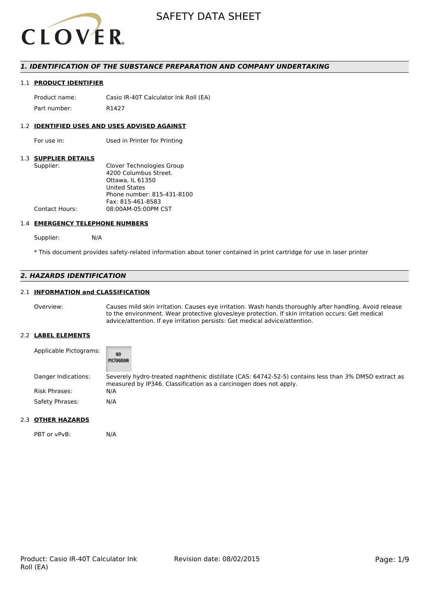

## *1. IDENTIFICATION OF THE SUBSTANCE PREPARATION AND COMPANY UNDERTAKING*

#### 1.1 **PRODUCT IDENTIFIER**

Product name: Casio IR-40T Calculator Ink Roll (EA) Part number: R1427

### 1.2 **IDENTIFIED USES AND USES ADVISED AGAINST**

For use in: Used in Printer for Printing

## 1.3 **SUPPLIER DETAILS**

| Supplier:      | Clover Technologies Group  |
|----------------|----------------------------|
|                | 4200 Columbus Street.      |
|                | Ottawa. IL 61350           |
|                | <b>United States</b>       |
|                | Phone number: 815-431-8100 |
|                | Fax: 815-461-8583          |
| Contact Hours: | 08:00AM-05:00PM CST        |
|                |                            |

#### 1.4 **EMERGENCY TELEPHONE NUMBERS**

Supplier: N/A

\* This document provides safety-related information about toner contained in print cartridge for use in laser printer

## *2. HAZARDS IDENTIFICATION*

## 2.1 **INFORMATION and CLASSIFICATION**

Overview: Causes mild skin irritation. Causes eye irritation. Wash hands thoroughly after handling. Avoid release to the environment. Wear protective gloves/eye protection. If skin irritation occurs: Get medical advice/attention. If eye irritation persists: Get medical advice/attention.

#### 2.2 **LABEL ELEMENTS**

| Applicable Pictograms: | <b>NO</b><br>PICTOGRAM                                                                                                                                                    |
|------------------------|---------------------------------------------------------------------------------------------------------------------------------------------------------------------------|
| Danger Indications:    | Severely hydro-treated naphthenic distillate (CAS: 64742-52-5) contains less than 3% DMSO extract as<br>measured by IP346. Classification as a carcinogen does not apply. |
| <b>Risk Phrases:</b>   | N/A                                                                                                                                                                       |
| Safety Phrases:        | N/A                                                                                                                                                                       |

## 2.3 **OTHER HAZARDS**

PBT or vPvB: N/A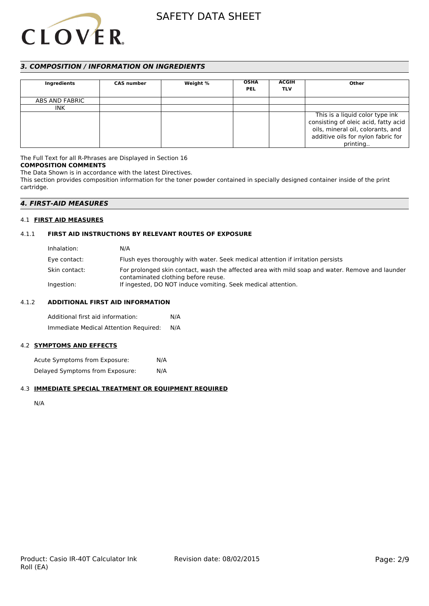

# *3. COMPOSITION / INFORMATION ON INGREDIENTS*

| Ingredients    | <b>CAS number</b> | Weight % | <b>OSHA</b><br><b>PEL</b> | <b>ACGIH</b><br><b>TLV</b> | Other                                                                                                                                                          |
|----------------|-------------------|----------|---------------------------|----------------------------|----------------------------------------------------------------------------------------------------------------------------------------------------------------|
| ABS AND FABRIC |                   |          |                           |                            |                                                                                                                                                                |
| <b>INK</b>     |                   |          |                           |                            |                                                                                                                                                                |
|                |                   |          |                           |                            | This is a liquid color type ink<br>consisting of oleic acid, fatty acid<br>oils, mineral oil, colorants, and<br>additive oils for nylon fabric for<br>printing |

The Full Text for all R-Phrases are Displayed in Section 16 **COMPOSITION COMMENTS**

The Data Shown is in accordance with the latest Directives. This section provides composition information for the toner powder contained in specially designed container inside of the print cartridge.

# *4. FIRST-AID MEASURES*

## 4.1 **FIRST AID MEASURES**

## 4.1.1 **FIRST AID INSTRUCTIONS BY RELEVANT ROUTES OF EXPOSURE**

| Inhalation:   | N/A                                                                                                                                    |
|---------------|----------------------------------------------------------------------------------------------------------------------------------------|
| Eye contact:  | Flush eyes thoroughly with water. Seek medical attention if irritation persists                                                        |
| Skin contact: | For prolonged skin contact, wash the affected area with mild soap and water. Remove and launder<br>contaminated clothing before reuse. |
| Ingestion:    | If ingested, DO NOT induce vomiting. Seek medical attention.                                                                           |

## 4.1.2 **ADDITIONAL FIRST AID INFORMATION**

Additional first aid information: N/A Immediate Medical Attention Required: N/A

# 4.2 **SYMPTOMS AND EFFECTS**

Acute Symptoms from Exposure: N/A Delayed Symptoms from Exposure: N/A

## 4.3 **IMMEDIATE SPECIAL TREATMENT OR EQUIPMENT REQUIRED**

N/A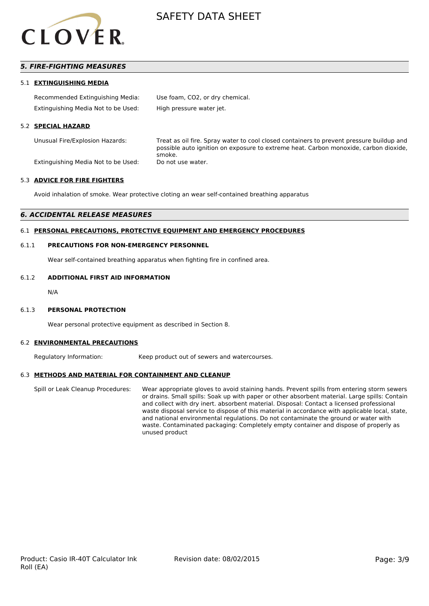

# *5. FIRE-FIGHTING MEASURES*

#### 5.1 **EXTINGUISHING MEDIA**

| Recommended Extinguishing Media:    | Use foam, CO2, or dry chemical. |
|-------------------------------------|---------------------------------|
| Extinguishing Media Not to be Used: | High pressure water jet.        |

#### 5.2 **SPECIAL HAZARD**

Unusual Fire/Explosion Hazards: Treat as oil fire. Spray water to cool closed containers to prevent pressure buildup and possible auto ignition on exposure to extreme heat. Carbon monoxide, carbon dioxide, smoke. Extinguishing Media Not to be Used: Do not use water.

## 5.3 **ADVICE FOR FIRE FIGHTERS**

Avoid inhalation of smoke. Wear protective cloting an wear self-contained breathing apparatus

#### *6. ACCIDENTAL RELEASE MEASURES*

## 6.1 **PERSONAL PRECAUTIONS, PROTECTIVE EQUIPMENT AND EMERGENCY PROCEDURES**

#### 6.1.1 **PRECAUTIONS FOR NON-EMERGENCY PERSONNEL**

Wear self-contained breathing apparatus when fighting fire in confined area.

#### 6.1.2 **ADDITIONAL FIRST AID INFORMATION**

N/A

### 6.1.3 **PERSONAL PROTECTION**

Wear personal protective equipment as described in Section 8.

#### 6.2 **ENVIRONMENTAL PRECAUTIONS**

Regulatory Information: Keep product out of sewers and watercourses.

### 6.3 **METHODS AND MATERIAL FOR CONTAINMENT AND CLEANUP**

Spill or Leak Cleanup Procedures: Wear appropriate gloves to avoid staining hands. Prevent spills from entering storm sewers or drains. Small spills: Soak up with paper or other absorbent material. Large spills: Contain and collect with dry inert. absorbent material. Disposal: Contact a licensed professional waste disposal service to dispose of this material in accordance with applicable local, state, and national environmental regulations. Do not contaminate the ground or water with waste. Contaminated packaging: Completely empty container and dispose of properly as unused product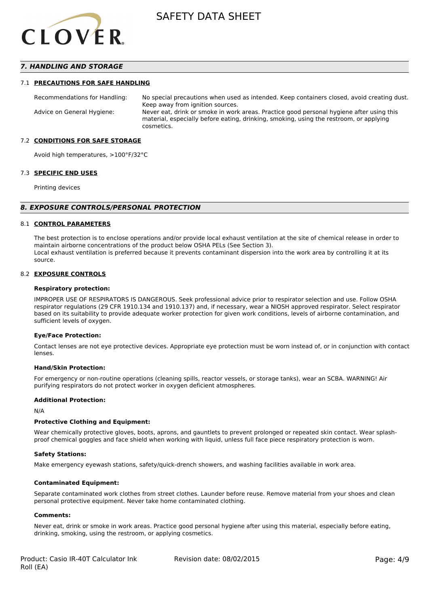

## *7. HANDLING AND STORAGE*

#### 7.1 **PRECAUTIONS FOR SAFE HANDLING**

Recommendations for Handling: No special precautions when used as intended. Keep containers closed, avoid creating dust. Keep away from ignition sources. Advice on General Hygiene: Never eat, drink or smoke in work areas. Practice good personal hygiene after using this material, especially before eating, drinking, smoking, using the restroom, or applying cosmetics.

#### 7.2 **CONDITIONS FOR SAFE STORAGE**

Avoid high temperatures, >100°F/32°C

#### 7.3 **SPECIFIC END USES**

Printing devices

#### *8. EXPOSURE CONTROLS/PERSONAL PROTECTION*

#### 8.1 **CONTROL PARAMETERS**

The best protection is to enclose operations and/or provide local exhaust ventilation at the site of chemical release in order to maintain airborne concentrations of the product below OSHA PELs (See Section 3). Local exhaust ventilation is preferred because it prevents contaminant dispersion into the work area by controlling it at its source.

#### 8.2 **EXPOSURE CONTROLS**

#### **Respiratory protection:**

IMPROPER USE OF RESPIRATORS IS DANGEROUS. Seek professional advice prior to respirator selection and use. Follow OSHA respirator regulations (29 CFR 1910.134 and 1910.137) and, if necessary, wear a NIOSH approved respirator. Select respirator based on its suitability to provide adequate worker protection for given work conditions, levels of airborne contamination, and sufficient levels of oxygen.

#### **Eye/Face Protection:**

Contact lenses are not eye protective devices. Appropriate eye protection must be worn instead of, or in conjunction with contact lenses.

#### **Hand/Skin Protection:**

For emergency or non-routine operations (cleaning spills, reactor vessels, or storage tanks), wear an SCBA. WARNING! Air purifying respirators do not protect worker in oxygen deficient atmospheres.

## **Additional Protection:**

N/A

### **Protective Clothing and Equipment:**

Wear chemically protective gloves, boots, aprons, and gauntlets to prevent prolonged or repeated skin contact. Wear splashproof chemical goggles and face shield when working with liquid, unless full face piece respiratory protection is worn.

#### **Safety Stations:**

Make emergency eyewash stations, safety/quick-drench showers, and washing facilities available in work area.

#### **Contaminated Equipment:**

Separate contaminated work clothes from street clothes. Launder before reuse. Remove material from your shoes and clean personal protective equipment. Never take home contaminated clothing.

#### **Comments:**

Never eat, drink or smoke in work areas. Practice good personal hygiene after using this material, especially before eating, drinking, smoking, using the restroom, or applying cosmetics.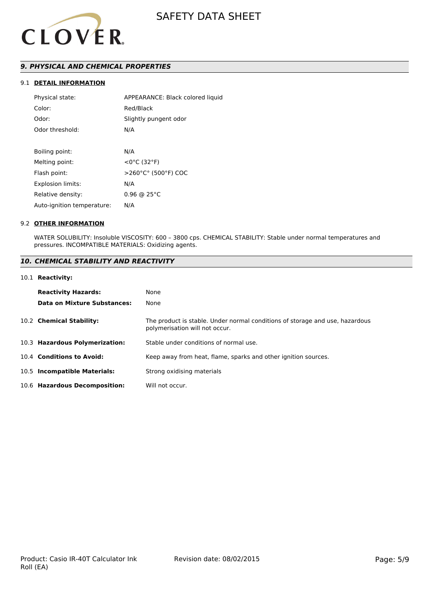

# *9. PHYSICAL AND CHEMICAL PROPERTIES*

# 9.1 **DETAIL INFORMATION**

| APPEARANCE: Black colored liquid |
|----------------------------------|
| Red/Black                        |
| Slightly pungent odor            |
| N/A                              |
|                                  |
| N/A                              |
| $<$ 0°C (32°F)                   |
| >260°C° (500°F) COC              |
| N/A                              |
| $0.96 \odot 25^{\circ}$ C        |
| N/A                              |
|                                  |

#### 9.2 **OTHER INFORMATION**

WATER SOLUBILITY: Insoluble VISCOSITY: 600 – 3800 cps. CHEMICAL STABILITY: Stable under normal temperatures and pressures. INCOMPATIBLE MATERIALS: Oxidizing agents.

# *10. CHEMICAL STABILITY AND REACTIVITY*

#### 10.1 **Reactivity:**

| <b>Reactivity Hazards:</b>     | None                                                                                                           |
|--------------------------------|----------------------------------------------------------------------------------------------------------------|
| Data on Mixture Substances:    | None                                                                                                           |
| 10.2 Chemical Stability:       | The product is stable. Under normal conditions of storage and use, hazardous<br>polymerisation will not occur. |
| 10.3 Hazardous Polymerization: | Stable under conditions of normal use.                                                                         |
| 10.4 Conditions to Avoid:      | Keep away from heat, flame, sparks and other ignition sources.                                                 |
| 10.5 Incompatible Materials:   | Strong oxidising materials                                                                                     |
| 10.6 Hazardous Decomposition:  | Will not occur.                                                                                                |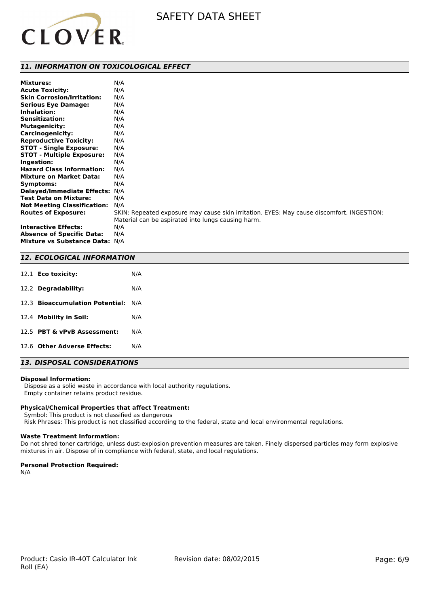

## *11. INFORMATION ON TOXICOLOGICAL EFFECT*

| <b>Mixtures:</b>                   | N/A                                                                                       |
|------------------------------------|-------------------------------------------------------------------------------------------|
| <b>Acute Toxicity:</b>             | N/A                                                                                       |
| <b>Skin Corrosion/Irritation:</b>  | N/A                                                                                       |
| <b>Serious Eye Damage:</b>         | N/A                                                                                       |
| Inhalation:                        | N/A                                                                                       |
| <b>Sensitization:</b>              | N/A                                                                                       |
| <b>Mutagenicity:</b>               | N/A                                                                                       |
| <b>Carcinogenicity:</b>            | N/A                                                                                       |
| <b>Reproductive Toxicity:</b>      | N/A                                                                                       |
| <b>STOT - Single Exposure:</b>     | N/A                                                                                       |
| <b>STOT - Multiple Exposure:</b>   | N/A                                                                                       |
| Ingestion:                         | N/A                                                                                       |
| <b>Hazard Class Information:</b>   | N/A                                                                                       |
| <b>Mixture on Market Data:</b>     | N/A                                                                                       |
| Symptoms:                          | N/A                                                                                       |
| <b>Delayed/Immediate Effects:</b>  | N/A                                                                                       |
| <b>Test Data on Mixture:</b>       | N/A                                                                                       |
| <b>Not Meeting Classification:</b> | N/A                                                                                       |
| <b>Routes of Exposure:</b>         | SKIN: Repeated exposure may cause skin irritation. EYES: May cause discomfort. INGESTION: |
|                                    | Material can be aspirated into lungs causing harm.                                        |
| <b>Interactive Effects:</b>        | N/A                                                                                       |
| <b>Absence of Specific Data:</b>   | N/A                                                                                       |
| Mixture vs Substance Data: N/A     |                                                                                           |

## *12. ECOLOGICAL INFORMATION*

| 12.1 <b>Eco toxicity:</b>           | N/A |
|-------------------------------------|-----|
| 12.2 Degradability:                 | N/A |
| 12.3 Bioaccumulation Potential: N/A |     |
| 12.4 Mobility in Soil:              | N/A |
| 12.5 PBT & vPvB Assessment:         | N/A |
| 12.6 Other Adverse Effects:         | N/A |

# *13. DISPOSAL CONSIDERATIONS*

#### **Disposal Information:**

 Dispose as a solid waste in accordance with local authority regulations. Empty container retains product residue.

## **Physical/Chemical Properties that affect Treatment:**

Symbol: This product is not classified as dangerous

Risk Phrases: This product is not classified according to the federal, state and local environmental regulations.

## **Waste Treatment Information:**

Do not shred toner cartridge, unless dust-explosion prevention measures are taken. Finely dispersed particles may form explosive mixtures in air. Dispose of in compliance with federal, state, and local regulations.

### **Personal Protection Required:**

N/A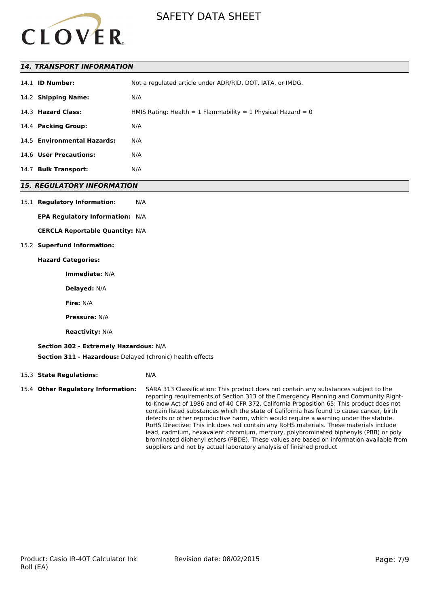

## *14. TRANSPORT INFORMATION*

| 14.1 <b>ID Number:</b>      | Not a regulated article under ADR/RID, DOT, IATA, or IMDG.   |
|-----------------------------|--------------------------------------------------------------|
| 14.2 Shipping Name:         | N/A                                                          |
| 14.3 Hazard Class:          | HMIS Rating: Health = 1 Flammability = 1 Physical Hazard = 0 |
| 14.4 Packing Group:         | N/A                                                          |
| 14.5 Environmental Hazards: | N/A                                                          |
| 14.6 User Precautions:      | N/A                                                          |
| 14.7 Bulk Transport:        | N/A                                                          |

## *15. REGULATORY INFORMATION*

#### 15.1 **Regulatory Information:** N/A

**EPA Regulatory Information:** N/A

**CERCLA Reportable Quantity:** N/A

### 15.2 **Superfund Information:**

### **Hazard Categories:**

**Immediate:** N/A

**Delayed:** N/A

**Fire:** N/A

**Pressure:** N/A

**Reactivity:** N/A

## **Section 302 - Extremely Hazardous:** N/A

**Section 311 - Hazardous:** Delayed (chronic) health effects

### 15.3 **State Regulations:** N/A

15.4 **Other Regulatory Information:** SARA 313 Classification: This product does not contain any substances subject to the reporting requirements of Section 313 of the Emergency Planning and Community Rightto-Know Act of 1986 and of 40 CFR 372. California Proposition 65: This product does not contain listed substances which the state of California has found to cause cancer, birth defects or other reproductive harm, which would require a warning under the statute. RoHS Directive: This ink does not contain any RoHS materials. These materials include lead, cadmium, hexavalent chromium, mercury, polybrominated biphenyls (PBB) or poly brominated diphenyl ethers (PBDE). These values are based on information available from suppliers and not by actual laboratory analysis of finished product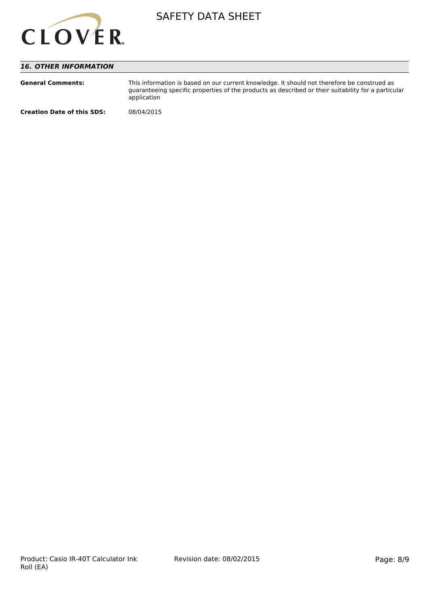

# *16. OTHER INFORMATION*

| <b>General Comments:</b>          | This information is based on our current knowledge. It should not therefore be construed as<br>guaranteeing specific properties of the products as described or their suitability for a particular<br>application |
|-----------------------------------|-------------------------------------------------------------------------------------------------------------------------------------------------------------------------------------------------------------------|
| <b>Creation Date of this SDS:</b> | 08/04/2015                                                                                                                                                                                                        |